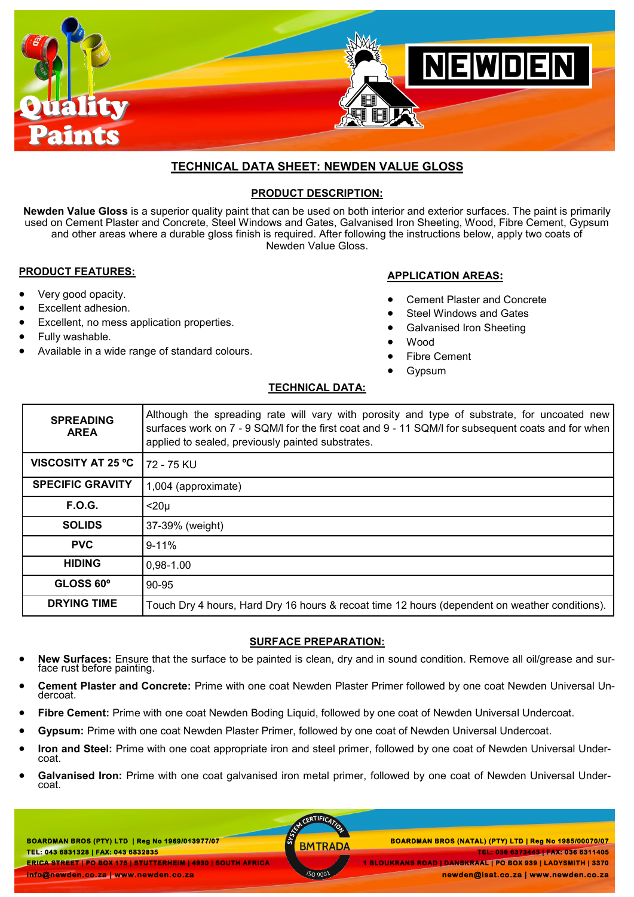

# **TECHNICAL DATA SHEET: NEWDEN VALUE GLOSS**

# **PRODUCT DESCRIPTION:**

**Newden Value Gloss** is a superior quality paint that can be used on both interior and exterior surfaces. The paint is primarily used on Cement Plaster and Concrete, Steel Windows and Gates, Galvanised Iron Sheeting, Wood, Fibre Cement, Gypsum and other areas where a durable gloss finish is required. After following the instructions below, apply two coats of Newden Value Gloss.

## **PRODUCT FEATURES:**

 Very good opacity. Excellent adhesion.

Fully washable.

Excellent, no mess application properties.

Available in a wide range of standard colours.

# **APPLICATION AREAS:**

- Cement Plaster and Concrete
- Steel Windows and Gates
- Galvanised Iron Sheeting
- Wood
- Fibre Cement
	- **G**ypsum

## **TECHNICAL DATA:**

| <b>SPREADING</b><br><b>AREA</b> | Although the spreading rate will vary with porosity and type of substrate, for uncoated new<br>surfaces work on 7 - 9 SQM/I for the first coat and 9 - 11 SQM/I for subsequent coats and for when<br>applied to sealed, previously painted substrates. |
|---------------------------------|--------------------------------------------------------------------------------------------------------------------------------------------------------------------------------------------------------------------------------------------------------|
| <b>VISCOSITY AT 25 °C</b>       | 72 - 75 KU                                                                                                                                                                                                                                             |
| <b>SPECIFIC GRAVITY</b>         | 1,004 (approximate)                                                                                                                                                                                                                                    |
| F.O.G.                          | $<$ 20 $\mu$                                                                                                                                                                                                                                           |
| <b>SOLIDS</b>                   | 37-39% (weight)                                                                                                                                                                                                                                        |
| <b>PVC</b>                      | $9 - 11%$                                                                                                                                                                                                                                              |
| <b>HIDING</b>                   | 0,98-1.00                                                                                                                                                                                                                                              |
| GLOSS 60°                       | 90-95                                                                                                                                                                                                                                                  |
| <b>DRYING TIME</b>              | Touch Dry 4 hours, Hard Dry 16 hours & recoat time 12 hours (dependent on weather conditions).                                                                                                                                                         |

# **SURFACE PREPARATION:**

- **New Surfaces:** Ensure that the surface to be painted is clean, dry and in sound condition. Remove all oil/grease and surface rust before painting.
- **Cement Plaster and Concrete:** Prime with one coat Newden Plaster Primer followed by one coat Newden Universal Undercoat.
- **Fibre Cement:** Prime with one coat Newden Boding Liquid, followed by one coat of Newden Universal Undercoat.
- **Gypsum:** Prime with one coat Newden Plaster Primer, followed by one coat of Newden Universal Undercoat.
- **Iron and Steel:** Prime with one coat appropriate iron and steel primer, followed by one coat of Newden Universal Undercoat.
- **Galvanised Iron:** Prime with one coat galvanised iron metal primer, followed by one coat of Newden Universal Undercoat.

**BOARDMAN BROS (PTY) LTD | Reg No 1969/013977/07 TEL: 043 6831328 | FAX: 043 6832835 ERICA STREET | PO BOX 175 | STUTTERHEIM | 4930 | SOUTH AFRICA** 

CERTIFICA

 **BOARDMAN BROS (PTY) LTD | Reg No 1969/013977/07 BOARDMAN BROS (NATAL) (PTY) LTD | Reg No 1985/00070/07 TEL: 036 6373443 | FAX: 036 6311405 1 BLOUKRANS ROAD | DANSKRAAL | PO BOX 939 | LADYSMITH | 3370 newden@isat.co.za | www.newden.co.za** 

**info@newden.co.za | www.newden.co.za**